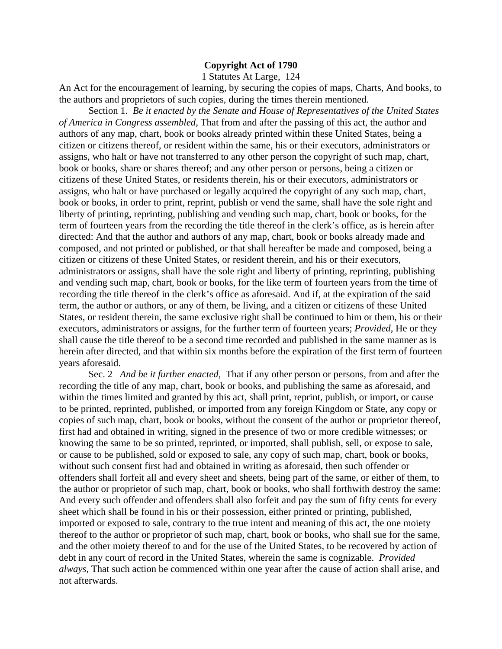## **Copyright Act of 1790**

1 Statutes At Large, 124

An Act for the encouragement of learning, by securing the copies of maps, Charts, And books, to the authors and proprietors of such copies, during the times therein mentioned.

Section 1. *Be it enacted by the Senate and House of Representatives of the United States of America in Congress assembled*, That from and after the passing of this act, the author and authors of any map, chart, book or books already printed within these United States, being a citizen or citizens thereof, or resident within the same, his or their executors, administrators or assigns, who halt or have not transferred to any other person the copyright of such map, chart, book or books, share or shares thereof; and any other person or persons, being a citizen or citizens of these United States, or residents therein, his or their executors, administrators or assigns, who halt or have purchased or legally acquired the copyright of any such map, chart, book or books, in order to print, reprint, publish or vend the same, shall have the sole right and liberty of printing, reprinting, publishing and vending such map, chart, book or books, for the term of fourteen years from the recording the title thereof in the clerk's office, as is herein after directed: And that the author and authors of any map, chart, book or books already made and composed, and not printed or published, or that shall hereafter be made and composed, being a citizen or citizens of these United States, or resident therein, and his or their executors, administrators or assigns, shall have the sole right and liberty of printing, reprinting, publishing and vending such map, chart, book or books, for the like term of fourteen years from the time of recording the title thereof in the clerk's office as aforesaid. And if, at the expiration of the said term, the author or authors, or any of them, be living, and a citizen or citizens of these United States, or resident therein, the same exclusive right shall be continued to him or them, his or their executors, administrators or assigns, for the further term of fourteen years; *Provided*, He or they shall cause the title thereof to be a second time recorded and published in the same manner as is herein after directed, and that within six months before the expiration of the first term of fourteen years aforesaid.

Sec. 2 *And be it further enacted,* That if any other person or persons, from and after the recording the title of any map, chart, book or books, and publishing the same as aforesaid, and within the times limited and granted by this act, shall print, reprint, publish, or import, or cause to be printed, reprinted, published, or imported from any foreign Kingdom or State, any copy or copies of such map, chart, book or books, without the consent of the author or proprietor thereof, first had and obtained in writing, signed in the presence of two or more credible witnesses; or knowing the same to be so printed, reprinted, or imported, shall publish, sell, or expose to sale, or cause to be published, sold or exposed to sale, any copy of such map, chart, book or books, without such consent first had and obtained in writing as aforesaid, then such offender or offenders shall forfeit all and every sheet and sheets, being part of the same, or either of them, to the author or proprietor of such map, chart, book or books, who shall forthwith destroy the same: And every such offender and offenders shall also forfeit and pay the sum of fifty cents for every sheet which shall be found in his or their possession, either printed or printing, published, imported or exposed to sale, contrary to the true intent and meaning of this act, the one moiety thereof to the author or proprietor of such map, chart, book or books, who shall sue for the same, and the other moiety thereof to and for the use of the United States, to be recovered by action of debt in any court of record in the United States, wherein the same is cognizable. *Provided always,* That such action be commenced within one year after the cause of action shall arise, and not afterwards.